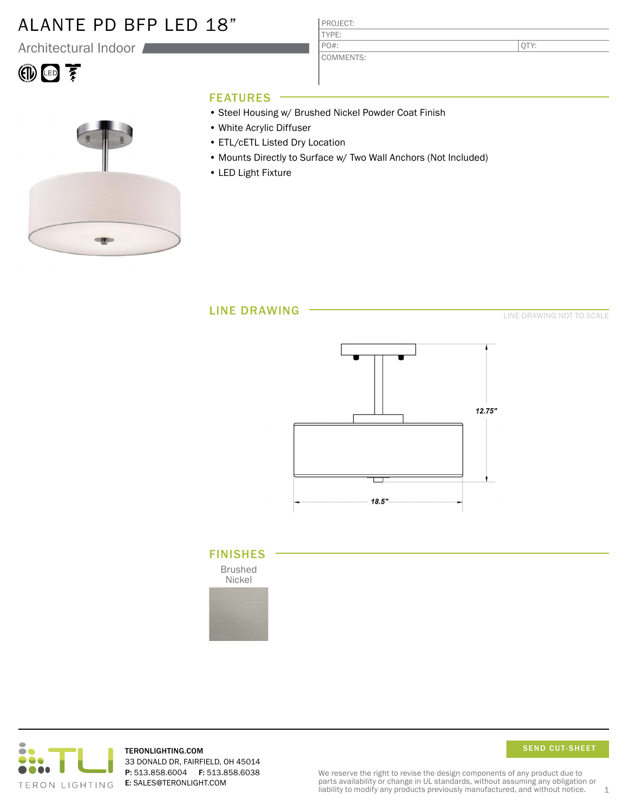### ALANTE PD BFP LED 18"

Architectural Indoor

# 10回至



### FEATURES

• Steel Housing w/ Brushed Nickel Powder Coat Finish

PROJECT: TYPE:

PO#:

COMMENTS:

- White Acrylic Diffuser
- ETL/cETL Listed Dry Location
- Mounts Directly to Surface w/ Two Wall Anchors (Not Included)
- LED Light Fixture

LINE DRAWING

LINE DRAWING NOT TO SCALE

QTY:



### FINISHES

Brushed Nickel





TERONLIGHTING.COM 33 DONALD DR, FAIRFIELD, OH 45014 P: 513.858.6004 F: 513.858.6038 E: SALES@TERONLIGHT.COM

SEND CUT-SHEET

We reserve the right to revise the design components of any product due to parts availability or change in UL standards, without assuming any obligation or liability to modify any products previously manufactured, and without notice.  $1$